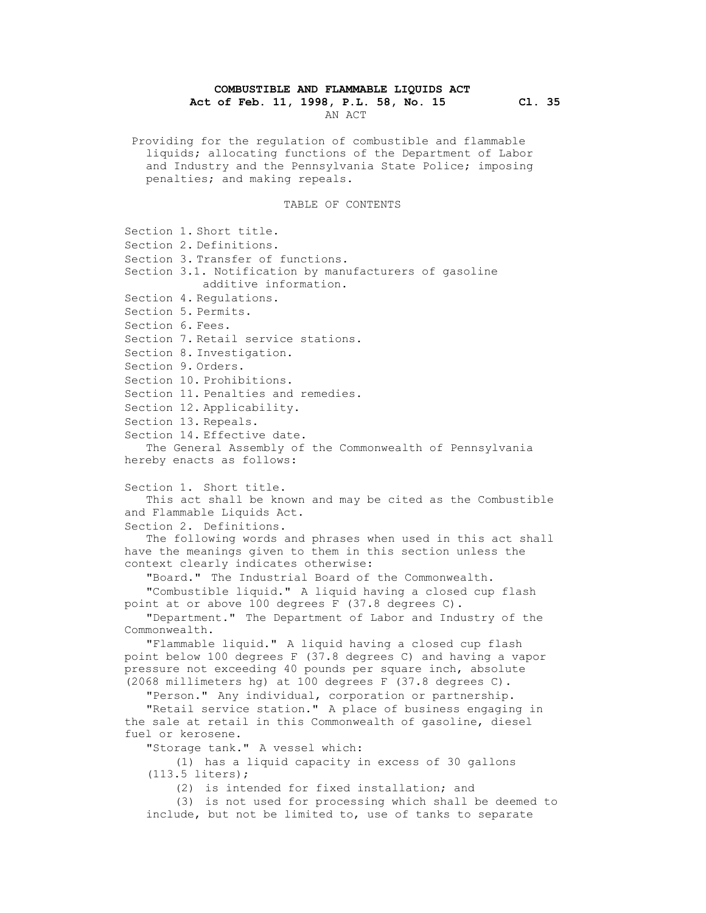## **COMBUSTIBLE AND FLAMMABLE LIQUIDS ACT**

**Act of Feb. 11, 1998, P.L. 58, No. 15 Cl. 35**

AN ACT

Providing for the regulation of combustible and flammable liquids; allocating functions of the Department of Labor and Industry and the Pennsylvania State Police; imposing penalties; and making repeals.

## TABLE OF CONTENTS

Section 1. Short title. Section 2. Definitions. Section 3. Transfer of functions. Section 3.1. Notification by manufacturers of gasoline additive information. Section 4. Regulations. Section 5. Permits. Section 6. Fees. Section 7. Retail service stations. Section 8. Investigation. Section 9. Orders. Section 10. Prohibitions. Section 11. Penalties and remedies. Section 12. Applicability. Section 13. Repeals. Section 14. Effective date. The General Assembly of the Commonwealth of Pennsylvania hereby enacts as follows: Section 1. Short title. This act shall be known and may be cited as the Combustible and Flammable Liquids Act. Section 2. Definitions. The following words and phrases when used in this act shall have the meanings given to them in this section unless the context clearly indicates otherwise: "Board." The Industrial Board of the Commonwealth. "Combustible liquid." A liquid having a closed cup flash point at or above 100 degrees F (37.8 degrees C). "Department." The Department of Labor and Industry of the Commonwealth. "Flammable liquid." A liquid having a closed cup flash point below 100 degrees F (37.8 degrees C) and having a vapor pressure not exceeding 40 pounds per square inch, absolute (2068 millimeters hg) at 100 degrees F (37.8 degrees C). "Person." Any individual, corporation or partnership. "Retail service station." A place of business engaging in the sale at retail in this Commonwealth of gasoline, diesel fuel or kerosene. "Storage tank." A vessel which: (1) has a liquid capacity in excess of 30 gallons (113.5 liters); (2) is intended for fixed installation; and (3) is not used for processing which shall be deemed to include, but not be limited to, use of tanks to separate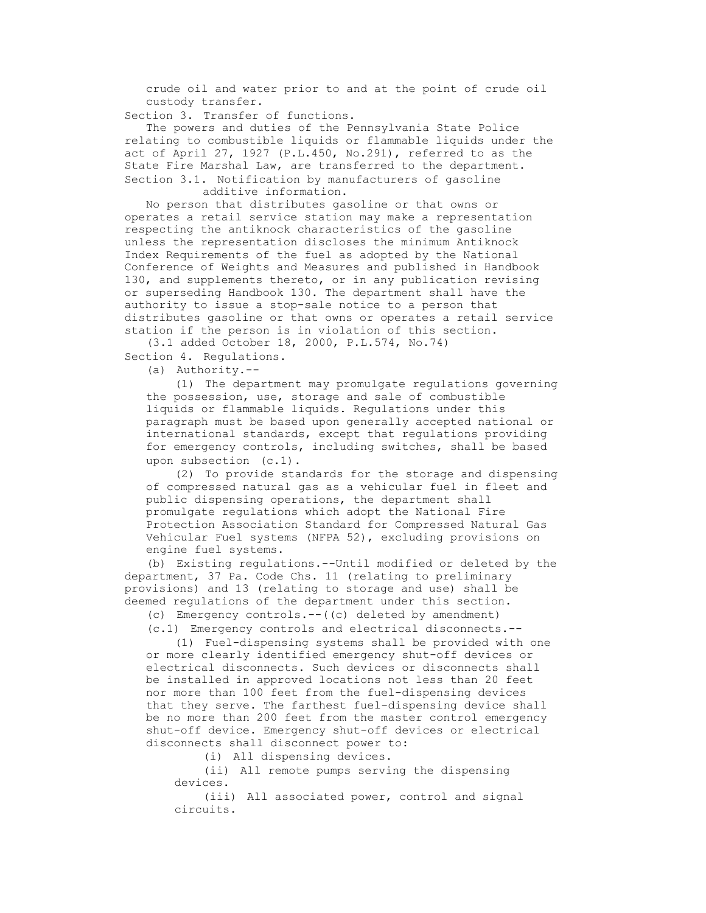crude oil and water prior to and at the point of crude oil custody transfer.

Section 3. Transfer of functions.

The powers and duties of the Pennsylvania State Police relating to combustible liquids or flammable liquids under the act of April 27, 1927 (P.L.450, No.291), referred to as the State Fire Marshal Law, are transferred to the department. Section 3.1. Notification by manufacturers of gasoline additive information.

No person that distributes gasoline or that owns or operates a retail service station may make a representation respecting the antiknock characteristics of the gasoline unless the representation discloses the minimum Antiknock Index Requirements of the fuel as adopted by the National Conference of Weights and Measures and published in Handbook 130, and supplements thereto, or in any publication revising or superseding Handbook 130. The department shall have the authority to issue a stop-sale notice to a person that distributes gasoline or that owns or operates a retail service station if the person is in violation of this section.

(3.1 added October 18, 2000, P.L.574, No.74)

Section 4. Regulations.

(a) Authority.--

(1) The department may promulgate regulations governing the possession, use, storage and sale of combustible liquids or flammable liquids. Regulations under this paragraph must be based upon generally accepted national or international standards, except that regulations providing for emergency controls, including switches, shall be based upon subsection (c.1).

(2) To provide standards for the storage and dispensing of compressed natural gas as a vehicular fuel in fleet and public dispensing operations, the department shall promulgate regulations which adopt the National Fire Protection Association Standard for Compressed Natural Gas Vehicular Fuel systems (NFPA 52), excluding provisions on engine fuel systems.

(b) Existing regulations.--Until modified or deleted by the department, 37 Pa. Code Chs. 11 (relating to preliminary provisions) and 13 (relating to storage and use) shall be deemed regulations of the department under this section.

(c) Emergency controls.--((c) deleted by amendment)

(c.1) Emergency controls and electrical disconnects.--

(1) Fuel-dispensing systems shall be provided with one or more clearly identified emergency shut-off devices or electrical disconnects. Such devices or disconnects shall be installed in approved locations not less than 20 feet nor more than 100 feet from the fuel-dispensing devices that they serve. The farthest fuel-dispensing device shall be no more than 200 feet from the master control emergency shut-off device. Emergency shut-off devices or electrical disconnects shall disconnect power to:

(i) All dispensing devices.

(ii) All remote pumps serving the dispensing devices.

(iii) All associated power, control and signal circuits.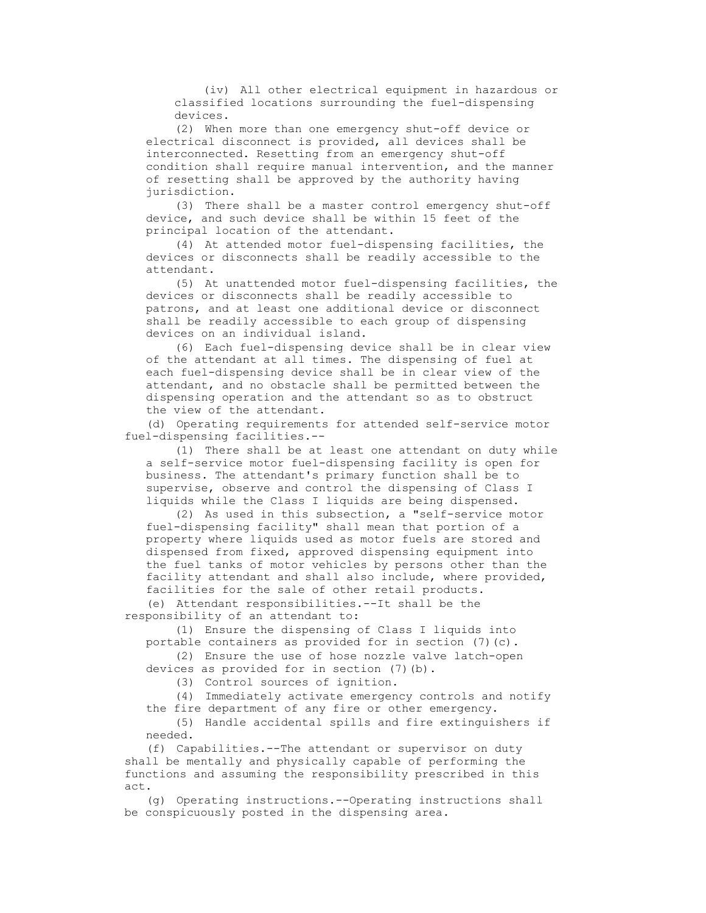(iv) All other electrical equipment in hazardous or classified locations surrounding the fuel-dispensing devices.

(2) When more than one emergency shut-off device or electrical disconnect is provided, all devices shall be interconnected. Resetting from an emergency shut-off condition shall require manual intervention, and the manner of resetting shall be approved by the authority having jurisdiction.

(3) There shall be a master control emergency shut-off device, and such device shall be within 15 feet of the principal location of the attendant.

(4) At attended motor fuel-dispensing facilities, the devices or disconnects shall be readily accessible to the attendant.

(5) At unattended motor fuel-dispensing facilities, the devices or disconnects shall be readily accessible to patrons, and at least one additional device or disconnect shall be readily accessible to each group of dispensing devices on an individual island.

(6) Each fuel-dispensing device shall be in clear view of the attendant at all times. The dispensing of fuel at each fuel-dispensing device shall be in clear view of the attendant, and no obstacle shall be permitted between the dispensing operation and the attendant so as to obstruct the view of the attendant.

(d) Operating requirements for attended self-service motor fuel-dispensing facilities.--

(1) There shall be at least one attendant on duty while a self-service motor fuel-dispensing facility is open for business. The attendant's primary function shall be to supervise, observe and control the dispensing of Class I liquids while the Class I liquids are being dispensed.

(2) As used in this subsection, a "self-service motor fuel-dispensing facility" shall mean that portion of a property where liquids used as motor fuels are stored and dispensed from fixed, approved dispensing equipment into the fuel tanks of motor vehicles by persons other than the facility attendant and shall also include, where provided, facilities for the sale of other retail products.

(e) Attendant responsibilities.--It shall be the responsibility of an attendant to:

(1) Ensure the dispensing of Class I liquids into portable containers as provided for in section (7)(c).

(2) Ensure the use of hose nozzle valve latch-open devices as provided for in section (7)(b).

(3) Control sources of ignition.

(4) Immediately activate emergency controls and notify the fire department of any fire or other emergency.

(5) Handle accidental spills and fire extinguishers if needed.

(f) Capabilities.--The attendant or supervisor on duty shall be mentally and physically capable of performing the functions and assuming the responsibility prescribed in this act.

(g) Operating instructions.--Operating instructions shall be conspicuously posted in the dispensing area.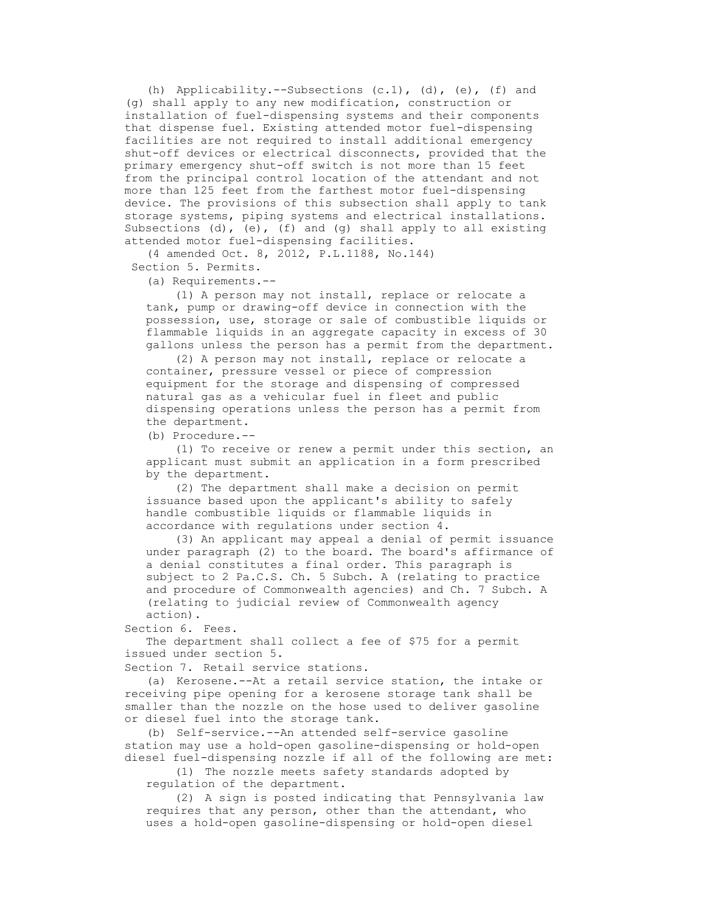(h) Applicability.--Subsections  $(c.1)$ ,  $(d)$ ,  $(e)$ ,  $(f)$  and (g) shall apply to any new modification, construction or installation of fuel-dispensing systems and their components that dispense fuel. Existing attended motor fuel-dispensing facilities are not required to install additional emergency shut-off devices or electrical disconnects, provided that the primary emergency shut-off switch is not more than 15 feet from the principal control location of the attendant and not more than 125 feet from the farthest motor fuel-dispensing device. The provisions of this subsection shall apply to tank storage systems, piping systems and electrical installations. Subsections (d), (e), (f) and (g) shall apply to all existing attended motor fuel-dispensing facilities.

(4 amended Oct. 8, 2012, P.L.1188, No.144) Section 5. Permits.

(a) Requirements.--

(1) A person may not install, replace or relocate a tank, pump or drawing-off device in connection with the possession, use, storage or sale of combustible liquids or flammable liquids in an aggregate capacity in excess of 30 gallons unless the person has a permit from the department.

(2) A person may not install, replace or relocate a container, pressure vessel or piece of compression equipment for the storage and dispensing of compressed natural gas as a vehicular fuel in fleet and public dispensing operations unless the person has a permit from the department.

(b) Procedure.--

(1) To receive or renew a permit under this section, an applicant must submit an application in a form prescribed by the department.

(2) The department shall make a decision on permit issuance based upon the applicant's ability to safely handle combustible liquids or flammable liquids in accordance with regulations under section 4.

(3) An applicant may appeal a denial of permit issuance under paragraph (2) to the board. The board's affirmance of a denial constitutes a final order. This paragraph is subject to 2 Pa.C.S. Ch. 5 Subch. A (relating to practice and procedure of Commonwealth agencies) and Ch. 7 Subch. A (relating to judicial review of Commonwealth agency action).

Section 6. Fees.

The department shall collect a fee of \$75 for a permit issued under section 5.

Section 7. Retail service stations.

(a) Kerosene.--At a retail service station, the intake or receiving pipe opening for a kerosene storage tank shall be smaller than the nozzle on the hose used to deliver gasoline or diesel fuel into the storage tank.

(b) Self-service.--An attended self-service gasoline station may use a hold-open gasoline-dispensing or hold-open diesel fuel-dispensing nozzle if all of the following are met:

(1) The nozzle meets safety standards adopted by regulation of the department.

(2) A sign is posted indicating that Pennsylvania law requires that any person, other than the attendant, who uses a hold-open gasoline-dispensing or hold-open diesel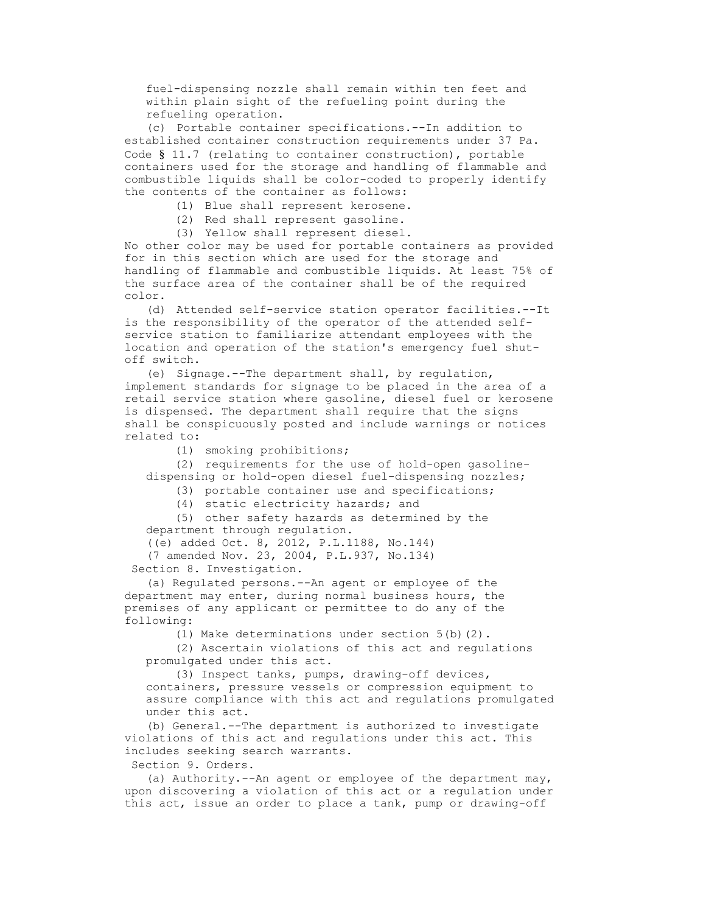fuel-dispensing nozzle shall remain within ten feet and within plain sight of the refueling point during the refueling operation.

(c) Portable container specifications.--In addition to established container construction requirements under 37 Pa. Code § 11.7 (relating to container construction), portable containers used for the storage and handling of flammable and combustible liquids shall be color-coded to properly identify the contents of the container as follows:

(1) Blue shall represent kerosene.

(2) Red shall represent gasoline.

(3) Yellow shall represent diesel.

No other color may be used for portable containers as provided for in this section which are used for the storage and handling of flammable and combustible liquids. At least 75% of the surface area of the container shall be of the required color.

(d) Attended self-service station operator facilities.--It is the responsibility of the operator of the attended selfservice station to familiarize attendant employees with the location and operation of the station's emergency fuel shutoff switch.

(e) Signage.--The department shall, by regulation, implement standards for signage to be placed in the area of a retail service station where gasoline, diesel fuel or kerosene is dispensed. The department shall require that the signs shall be conspicuously posted and include warnings or notices related to:

(1) smoking prohibitions;

(2) requirements for the use of hold-open gasolinedispensing or hold-open diesel fuel-dispensing nozzles;

(3) portable container use and specifications;

(4) static electricity hazards; and

(5) other safety hazards as determined by the department through regulation.

((e) added Oct. 8, 2012, P.L.1188, No.144)

(7 amended Nov. 23, 2004, P.L.937, No.134)

Section 8. Investigation.

(a) Regulated persons.--An agent or employee of the department may enter, during normal business hours, the premises of any applicant or permittee to do any of the following:

(1) Make determinations under section 5(b)(2).

(2) Ascertain violations of this act and regulations promulgated under this act.

(3) Inspect tanks, pumps, drawing-off devices, containers, pressure vessels or compression equipment to assure compliance with this act and regulations promulgated under this act.

(b) General.--The department is authorized to investigate violations of this act and regulations under this act. This includes seeking search warrants.

Section 9. Orders.

(a) Authority. $---$ An agent or employee of the department may, upon discovering a violation of this act or a regulation under this act, issue an order to place a tank, pump or drawing-off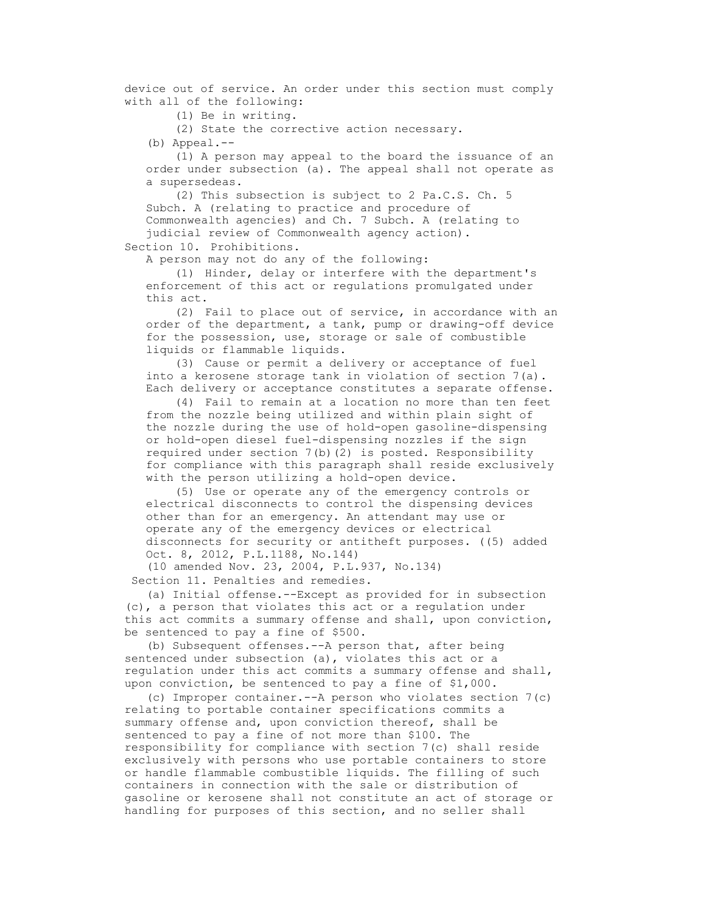device out of service. An order under this section must comply with all of the following:

(1) Be in writing.

(2) State the corrective action necessary.

(b) Appeal.--

(1) A person may appeal to the board the issuance of an order under subsection (a). The appeal shall not operate as a supersedeas.

(2) This subsection is subject to 2 Pa.C.S. Ch. 5 Subch. A (relating to practice and procedure of Commonwealth agencies) and Ch. 7 Subch. A (relating to judicial review of Commonwealth agency action).

Section 10. Prohibitions.

A person may not do any of the following:

(1) Hinder, delay or interfere with the department's enforcement of this act or regulations promulgated under this act.

(2) Fail to place out of service, in accordance with an order of the department, a tank, pump or drawing-off device for the possession, use, storage or sale of combustible liquids or flammable liquids.

(3) Cause or permit a delivery or acceptance of fuel into a kerosene storage tank in violation of section 7(a). Each delivery or acceptance constitutes a separate offense.

(4) Fail to remain at a location no more than ten feet from the nozzle being utilized and within plain sight of the nozzle during the use of hold-open gasoline-dispensing or hold-open diesel fuel-dispensing nozzles if the sign required under section 7(b)(2) is posted. Responsibility for compliance with this paragraph shall reside exclusively with the person utilizing a hold-open device.

(5) Use or operate any of the emergency controls or electrical disconnects to control the dispensing devices other than for an emergency. An attendant may use or operate any of the emergency devices or electrical disconnects for security or antitheft purposes. ((5) added Oct. 8, 2012, P.L.1188, No.144)

(10 amended Nov. 23, 2004, P.L.937, No.134)

Section 11. Penalties and remedies.

(a) Initial offense.--Except as provided for in subsection (c), a person that violates this act or a regulation under this act commits a summary offense and shall, upon conviction, be sentenced to pay a fine of \$500.

(b) Subsequent offenses.--A person that, after being sentenced under subsection (a), violates this act or a regulation under this act commits a summary offense and shall, upon conviction, be sentenced to pay a fine of \$1,000.

(c) Improper container.--A person who violates section 7(c) relating to portable container specifications commits a summary offense and, upon conviction thereof, shall be sentenced to pay a fine of not more than \$100. The responsibility for compliance with section 7(c) shall reside exclusively with persons who use portable containers to store or handle flammable combustible liquids. The filling of such containers in connection with the sale or distribution of gasoline or kerosene shall not constitute an act of storage or handling for purposes of this section, and no seller shall